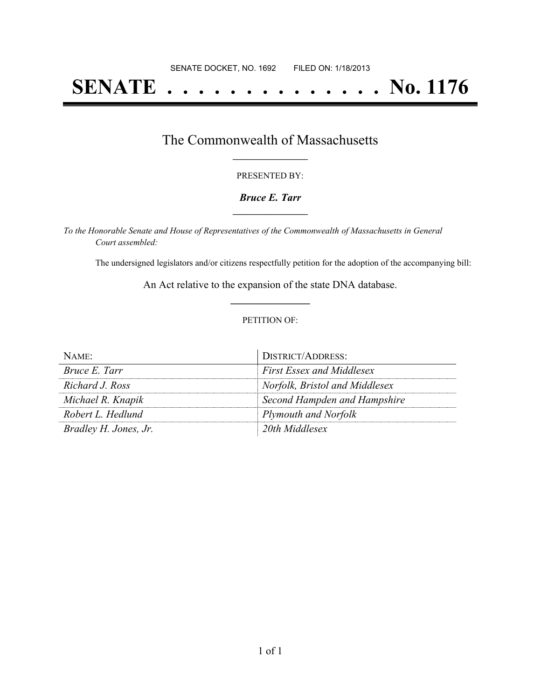# **SENATE . . . . . . . . . . . . . . No. 1176**

### The Commonwealth of Massachusetts **\_\_\_\_\_\_\_\_\_\_\_\_\_\_\_\_\_**

#### PRESENTED BY:

#### *Bruce E. Tarr* **\_\_\_\_\_\_\_\_\_\_\_\_\_\_\_\_\_**

*To the Honorable Senate and House of Representatives of the Commonwealth of Massachusetts in General Court assembled:*

The undersigned legislators and/or citizens respectfully petition for the adoption of the accompanying bill:

An Act relative to the expansion of the state DNA database. **\_\_\_\_\_\_\_\_\_\_\_\_\_\_\_**

#### PETITION OF:

| $N$ AME:              | DISTRICT/ADDRESS:                |
|-----------------------|----------------------------------|
| Bruce E. Tarr         | <b>First Essex and Middlesex</b> |
| Richard J. Ross       | Norfolk, Bristol and Middlesex   |
| Michael R. Knapik     | Second Hampden and Hampshire     |
| Robert L. Hedlund     | <b>Plymouth and Norfolk</b>      |
| Bradley H. Jones, Jr. | 20th Middlesex                   |

 $\overline{a}$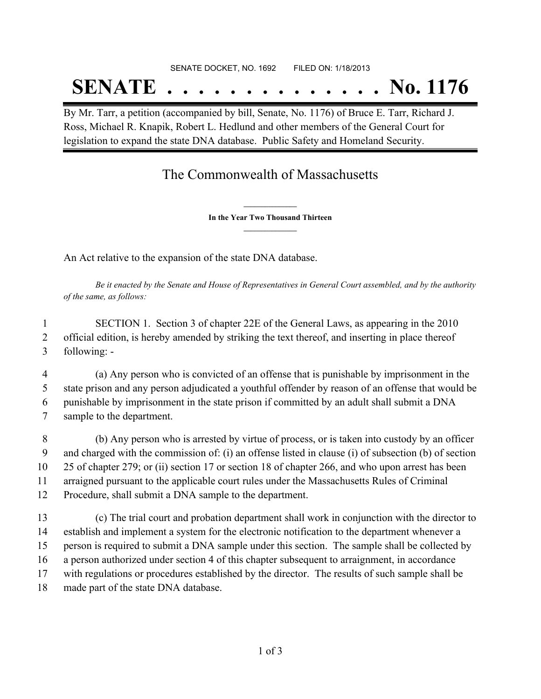## SENATE DOCKET, NO. 1692 FILED ON: 1/18/2013 **SENATE . . . . . . . . . . . . . . No. 1176**

By Mr. Tarr, a petition (accompanied by bill, Senate, No. 1176) of Bruce E. Tarr, Richard J. Ross, Michael R. Knapik, Robert L. Hedlund and other members of the General Court for legislation to expand the state DNA database. Public Safety and Homeland Security.

## The Commonwealth of Massachusetts

**\_\_\_\_\_\_\_\_\_\_\_\_\_\_\_ In the Year Two Thousand Thirteen \_\_\_\_\_\_\_\_\_\_\_\_\_\_\_**

An Act relative to the expansion of the state DNA database.

Be it enacted by the Senate and House of Representatives in General Court assembled, and by the authority *of the same, as follows:*

 SECTION 1. Section 3 of chapter 22E of the General Laws, as appearing in the 2010 official edition, is hereby amended by striking the text thereof, and inserting in place thereof following: -

 (a) Any person who is convicted of an offense that is punishable by imprisonment in the state prison and any person adjudicated a youthful offender by reason of an offense that would be punishable by imprisonment in the state prison if committed by an adult shall submit a DNA sample to the department.

 (b) Any person who is arrested by virtue of process, or is taken into custody by an officer and charged with the commission of: (i) an offense listed in clause (i) of subsection (b) of section 25 of chapter 279; or (ii) section 17 or section 18 of chapter 266, and who upon arrest has been arraigned pursuant to the applicable court rules under the Massachusetts Rules of Criminal Procedure, shall submit a DNA sample to the department.

 (c) The trial court and probation department shall work in conjunction with the director to establish and implement a system for the electronic notification to the department whenever a person is required to submit a DNA sample under this section. The sample shall be collected by a person authorized under section 4 of this chapter subsequent to arraignment, in accordance with regulations or procedures established by the director. The results of such sample shall be made part of the state DNA database.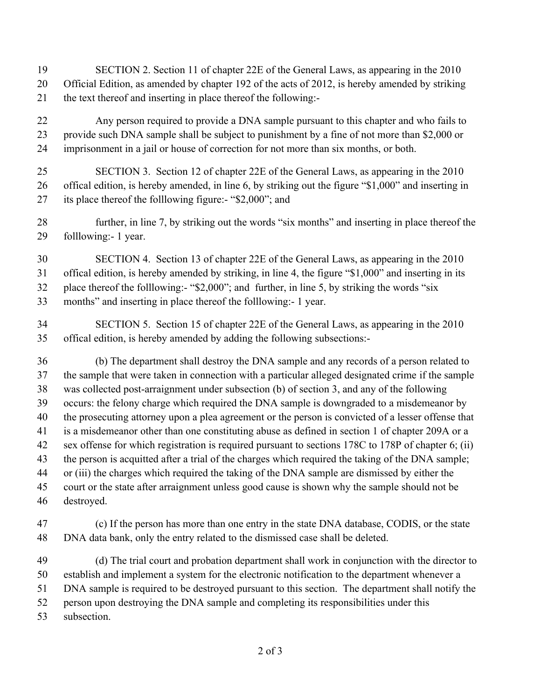- SECTION 2. Section 11 of chapter 22E of the General Laws, as appearing in the 2010 Official Edition, as amended by chapter 192 of the acts of 2012, is hereby amended by striking the text thereof and inserting in place thereof the following:-
- Any person required to provide a DNA sample pursuant to this chapter and who fails to provide such DNA sample shall be subject to punishment by a fine of not more than \$2,000 or imprisonment in a jail or house of correction for not more than six months, or both.
- SECTION 3. Section 12 of chapter 22E of the General Laws, as appearing in the 2010 offical edition, is hereby amended, in line 6, by striking out the figure "\$1,000" and inserting in its place thereof the folllowing figure:- "\$2,000"; and
- further, in line 7, by striking out the words "six months" and inserting in place thereof the folllowing:- 1 year.
- SECTION 4. Section 13 of chapter 22E of the General Laws, as appearing in the 2010 offical edition, is hereby amended by striking, in line 4, the figure "\$1,000" and inserting in its place thereof the folllowing:- "\$2,000"; and further, in line 5, by striking the words "six
- months" and inserting in place thereof the folllowing:- 1 year.
- SECTION 5. Section 15 of chapter 22E of the General Laws, as appearing in the 2010 offical edition, is hereby amended by adding the following subsections:-
- (b) The department shall destroy the DNA sample and any records of a person related to the sample that were taken in connection with a particular alleged designated crime if the sample was collected post-arraignment under subsection (b) of section 3, and any of the following occurs: the felony charge which required the DNA sample is downgraded to a misdemeanor by the prosecuting attorney upon a plea agreement or the person is convicted of a lesser offense that is a misdemeanor other than one constituting abuse as defined in section 1 of chapter 209A or a sex offense for which registration is required pursuant to sections 178C to 178P of chapter 6; (ii) the person is acquitted after a trial of the charges which required the taking of the DNA sample; or (iii) the charges which required the taking of the DNA sample are dismissed by either the court or the state after arraignment unless good cause is shown why the sample should not be destroyed.
- (c) If the person has more than one entry in the state DNA database, CODIS, or the state DNA data bank, only the entry related to the dismissed case shall be deleted.
- (d) The trial court and probation department shall work in conjunction with the director to establish and implement a system for the electronic notification to the department whenever a DNA sample is required to be destroyed pursuant to this section. The department shall notify the person upon destroying the DNA sample and completing its responsibilities under this subsection.